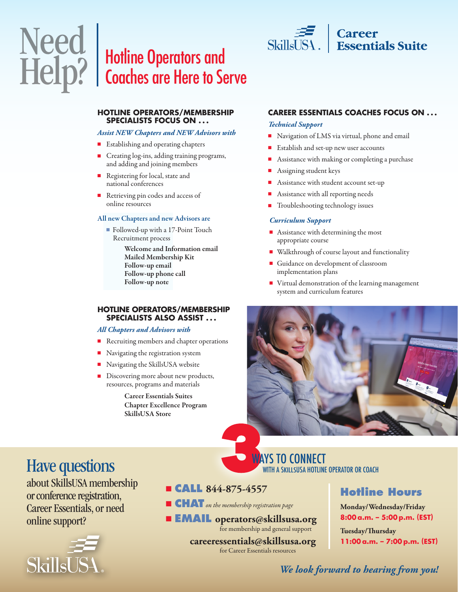# Hotline Operators and Coaches are Here to Serve



#### *Assist NEW Chapters and NEW Advisors with*

- Establishing and operating chapters
- <sup>n</sup> Creating log-ins, adding training programs, and adding and joining members
- Registering for local, state and national conferences
- Retrieving pin codes and access of online resources

#### All new Chapters and new Advisors are

■ Followed-up with a 17-Point Touch Recruitment process

> Welcome and Information email Mailed Membership Kit Follow-up email Follow-up phone call Follow-up note

#### **HOTLINE OPERATORS/MEMBERSHIP SPECIALISTS ALSO ASSIST . . .**

#### *All Chapters and Advisors with*

- Recruiting members and chapter operations
- Navigating the registration system
- $\blacksquare$  Navigating the SkillsUSA website
- Discovering more about new products, resources, programs and materials

 Career Essentials Suites Chapter Excellence Program SkillsUSA Store

#### **CAREER ESSENTIALS COACHES FOCUS ON . . .**

| Career<br>| Essentials Suite

#### *Technical Support*

 $\frac{1}{1}$ SkillsUSA.

- $\blacksquare$  Navigation of LMS via virtual, phone and email
- $\blacksquare$  Establish and set-up new user accounts
- Assistance with making or completing a purchase
- <sup>n</sup> Assigning student keys
- Assistance with student account set-up
- Assistance with all reporting needs
- Troubleshooting technology issues

#### *Curriculum Support*

- $\blacksquare$  Assistance with determining the most appropriate course
- Walkthrough of course layout and functionality
- <sup>n</sup> Guidance on development of classroom implementation plans
- $\blacksquare$  Virtual demonstration of the learning management system and curriculum features



## Have questions

Need

Help?

about SkillsUSA membership or conference registration, Career Essentials, or need online support?



### <sup>n</sup> **CALL 844-875-4557**

- n **CHAT***on the membership registration page*
- <sup>n</sup> **EMAIL operators@skillsusa.org**for membership and general support

 **careeressentials@skillsusa.org** for Career Essentials resources

WAYS TO CONNECT

WITH A SKILLSUSA HOTLINE OPERATOR OR COACH

## **Hotline Hours**

**Monday/Wednesday/Friday 8:00a.m. – 5:00p.m. (EST)**

**Tuesday/Thursday 11:00a.m. – 7:00p.m. (EST)**

## *We look forward to hearing from you!*